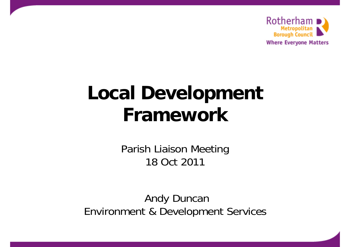

# **Local Development Framework**

Parish Liaison Meeting 18 Oct 2011

Andy Duncan Environment & Development Services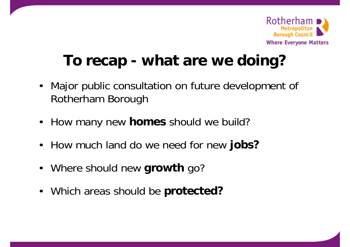

#### **To recap - what are we doing?**

- • Major public consultation on future development of Rotherham Borough
- How many new **homes** should we build?
- How much land do we need for new **jobs?**
- Where should new **growth** go?
- Which areas should be **protected?**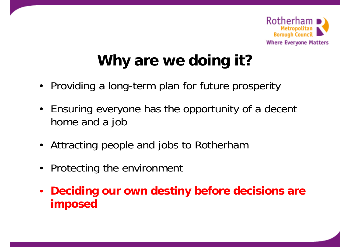

## **Why are we doing it?**

- Providing a long-term plan for future prosperity
- $\bullet$  Ensuring everyone has the opportunity of a decent home and a job
- Attracting people and jobs to Rotherham
- $\bullet$ Protecting the environment
- • **Deciding our own destiny before decisions are imposed**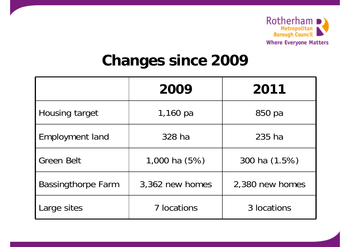

#### **Changes since 2009**

|                            | 2009            | 2011            |
|----------------------------|-----------------|-----------------|
| Housing target<br>1,160 pa |                 | 850 pa          |
| <b>Employment land</b>     | 328 ha          | 235 ha          |
| <b>Green Belt</b>          | 1,000 ha (5%)   | 300 ha (1.5%)   |
| <b>Bassingthorpe Farm</b>  | 3,362 new homes | 2,380 new homes |
| Large sites                | 7 locations     | 3 locations     |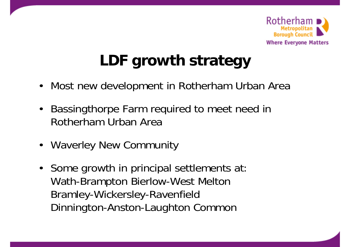

# **LDF growth strategy**

- •Most new development in Rotherham Urban Area
- $\bullet$  Bassingthorpe Farm required to meet need in Rotherham Urban Area
- Waverley New Community
- $\bullet$  Some growth in principal settlements at: Wath-Brampton Bierlow-West Melton Bramley-Wickersley-Ravenfield Dinnington-Anston-Laughton Common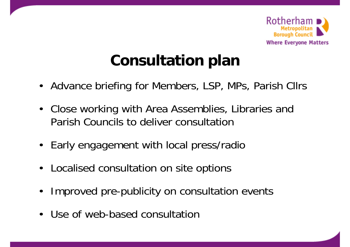

## **Consultation plan**

- Advance briefing for Members, LSP, MPs, Parish Cllrs
- Close working with Area Assemblies, Libraries and Parish Councils to deliver consultation
- Early engagement with local press/radio
- Localised consultation on site options
- •Improved pre-publicity on consultation events
- Use of web-based consultation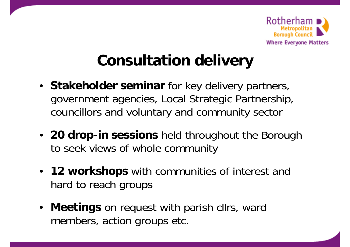

#### **Consultation delivery**

- **Stakeholder seminar** for key delivery partners, government agencies, Local Strategic Partnership, councillors and voluntary and community sector
- **20 drop-in sessions** held throughout the Borough to seek views of whole community
- **12 workshops** with communities of interest and hard to reach groups
- $\bullet$  **Meetings** on request with parish cllrs, ward members, action groups etc.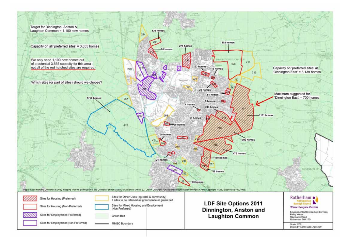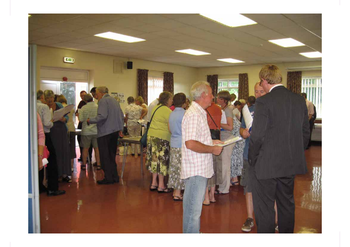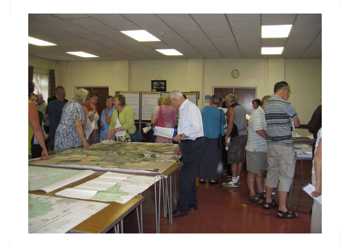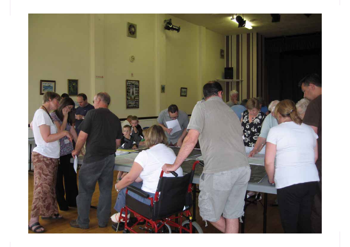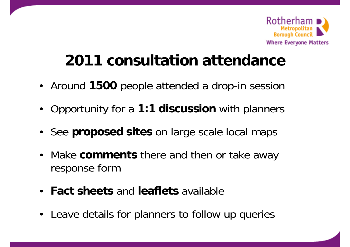

#### **2011 consultation attendance**

- Around **1500** people attended a drop-in session
- Opportunity for a **1:1 discussion** with planners
- See **proposed sites** on large scale local maps
- • Make **comments** there and then or take away response form
- **Fact sheets** and **leaflets** available
- Leave details for planners to follow up queries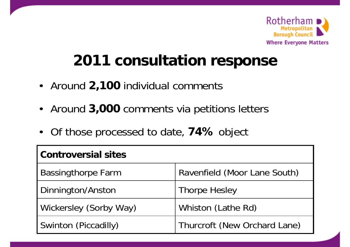

## **2011 consultation response**

- Around **2,100** individual comments
- $\bullet$ Around **3,000** comments via petitions letters
- Of those processed to date, **74%** object

| <b>Controversial sites</b> |                                     |  |
|----------------------------|-------------------------------------|--|
| <b>Bassingthorpe Farm</b>  | Ravenfield (Moor Lane South)        |  |
| Dinnington/Anston          | <b>Thorpe Hesley</b>                |  |
| Wickersley (Sorby Way)     | Whiston (Lathe Rd)                  |  |
| Swinton (Piccadilly)       | <b>Thurcroft (New Orchard Lane)</b> |  |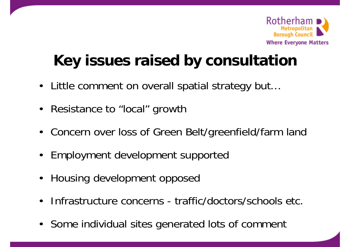

## **Key issues raised by consultation**

- Little comment on overall spatial strategy but…
- Resistance to "local" growth
- Concern over loss of Green Belt/greenfield/farm land
- •Employment development supported
- Housing development opposed
- $\bullet$ Infrastructure concerns - traffic/doctors/schools etc.
- Some individual sites generated lots of comment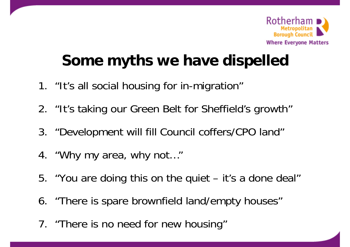

## **Some myths we have dispelled**

- 1. "It's all social housing for in-migration"
- 2. "It's taking our Green Belt for Sheffield's growth"
- 3. "Development will fill Council coffers/CPO land"
- 4. "Why my area, why not…"
- 5. "You are doing this on the quiet it's a done deal"
- 6. "There is spare brownfield land/empty houses"
- 7. "There is no need for new housing"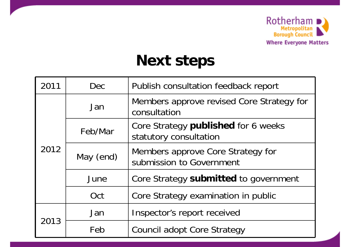

#### **Next steps**

| 2011 | Dec       | Publish consultation feedback report                          |  |
|------|-----------|---------------------------------------------------------------|--|
| 2012 | Jan       | Members approve revised Core Strategy for<br>consultation     |  |
|      | Feb/Mar   | Core Strategy published for 6 weeks<br>statutory consultation |  |
|      | May (end) | Members approve Core Strategy for<br>submission to Government |  |
|      | June      | Core Strategy submitted to government                         |  |
|      | Oct       | Core Strategy examination in public                           |  |
| 2013 | Jan       | Inspector's report received                                   |  |
|      | Feb       | Council adopt Core Strategy                                   |  |